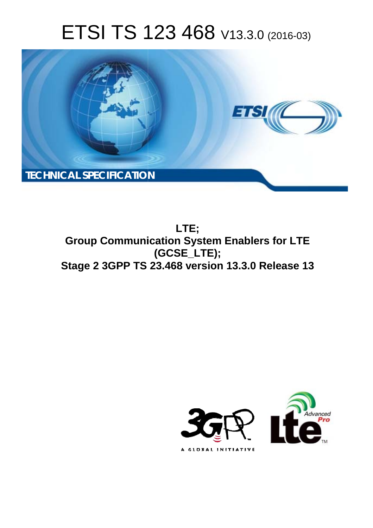# ETSI TS 123 468 V13.3.0 (2016-03)



**Group Communication System Enablers for LTE Stage 2 3GPP TS 23.468 version 13.3.0 Release 13 LTE; (GCSE\_LTE);** 

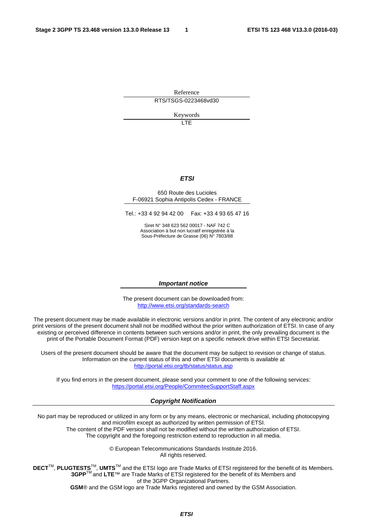Reference RTS/TSGS-0223468vd30

> Keywords LTE

> > *ETSI*

#### 650 Route des Lucioles F-06921 Sophia Antipolis Cedex - FRANCE

Tel.: +33 4 92 94 42 00 Fax: +33 4 93 65 47 16

Siret N° 348 623 562 00017 - NAF 742 C Association à but non lucratif enregistrée à la Sous-Préfecture de Grasse (06) N° 7803/88

#### *Important notice*

The present document can be downloaded from: <http://www.etsi.org/standards-search>

The present document may be made available in electronic versions and/or in print. The content of any electronic and/or print versions of the present document shall not be modified without the prior written authorization of ETSI. In case of any existing or perceived difference in contents between such versions and/or in print, the only prevailing document is the print of the Portable Document Format (PDF) version kept on a specific network drive within ETSI Secretariat.

Users of the present document should be aware that the document may be subject to revision or change of status. Information on the current status of this and other ETSI documents is available at <http://portal.etsi.org/tb/status/status.asp>

If you find errors in the present document, please send your comment to one of the following services: <https://portal.etsi.org/People/CommiteeSupportStaff.aspx>

#### *Copyright Notification*

No part may be reproduced or utilized in any form or by any means, electronic or mechanical, including photocopying and microfilm except as authorized by written permission of ETSI.

The content of the PDF version shall not be modified without the written authorization of ETSI. The copyright and the foregoing restriction extend to reproduction in all media.

> © European Telecommunications Standards Institute 2016. All rights reserved.

**DECT**TM, **PLUGTESTS**TM, **UMTS**TM and the ETSI logo are Trade Marks of ETSI registered for the benefit of its Members. **3GPP**TM and **LTE**™ are Trade Marks of ETSI registered for the benefit of its Members and of the 3GPP Organizational Partners.

**GSM**® and the GSM logo are Trade Marks registered and owned by the GSM Association.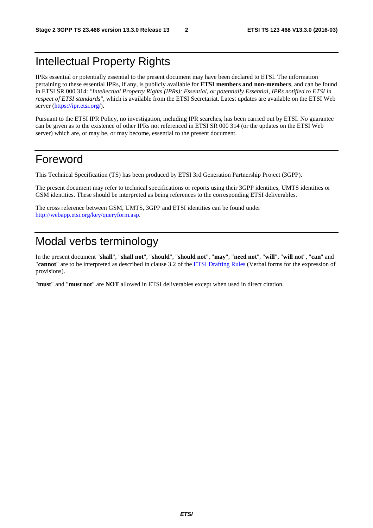# Intellectual Property Rights

IPRs essential or potentially essential to the present document may have been declared to ETSI. The information pertaining to these essential IPRs, if any, is publicly available for **ETSI members and non-members**, and can be found in ETSI SR 000 314: *"Intellectual Property Rights (IPRs); Essential, or potentially Essential, IPRs notified to ETSI in respect of ETSI standards"*, which is available from the ETSI Secretariat. Latest updates are available on the ETSI Web server ([https://ipr.etsi.org/\)](https://ipr.etsi.org/).

Pursuant to the ETSI IPR Policy, no investigation, including IPR searches, has been carried out by ETSI. No guarantee can be given as to the existence of other IPRs not referenced in ETSI SR 000 314 (or the updates on the ETSI Web server) which are, or may be, or may become, essential to the present document.

# Foreword

This Technical Specification (TS) has been produced by ETSI 3rd Generation Partnership Project (3GPP).

The present document may refer to technical specifications or reports using their 3GPP identities, UMTS identities or GSM identities. These should be interpreted as being references to the corresponding ETSI deliverables.

The cross reference between GSM, UMTS, 3GPP and ETSI identities can be found under [http://webapp.etsi.org/key/queryform.asp.](http://webapp.etsi.org/key/queryform.asp)

# Modal verbs terminology

In the present document "**shall**", "**shall not**", "**should**", "**should not**", "**may**", "**need not**", "**will**", "**will not**", "**can**" and "**cannot**" are to be interpreted as described in clause 3.2 of the [ETSI Drafting Rules](http://portal.etsi.org/Help/editHelp!/Howtostart/ETSIDraftingRules.aspx) (Verbal forms for the expression of provisions).

"**must**" and "**must not**" are **NOT** allowed in ETSI deliverables except when used in direct citation.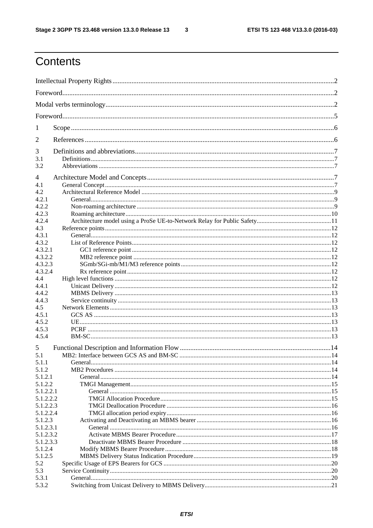$\overline{\mathbf{3}}$ 

# Contents

| 1              |                                         |     |  |  |  |
|----------------|-----------------------------------------|-----|--|--|--|
| 2              |                                         |     |  |  |  |
| 3              |                                         |     |  |  |  |
| 3.1<br>3.2     |                                         |     |  |  |  |
| 4              |                                         |     |  |  |  |
| 4.1            |                                         |     |  |  |  |
| 4.2            |                                         |     |  |  |  |
| 4.2.1          |                                         |     |  |  |  |
| 4.2.2          |                                         |     |  |  |  |
| 4.2.3          |                                         |     |  |  |  |
| 4.2.4          |                                         |     |  |  |  |
| 4.3            |                                         |     |  |  |  |
| 4.3.1          |                                         |     |  |  |  |
| 4.3.2          |                                         |     |  |  |  |
| 4.3.2.1        |                                         |     |  |  |  |
| 4.3.2.2        |                                         |     |  |  |  |
| 4.3.2.3        |                                         |     |  |  |  |
| 4.3.2.4        |                                         |     |  |  |  |
| 4.4            |                                         |     |  |  |  |
| 4.4.1          |                                         |     |  |  |  |
| 4.4.2          |                                         |     |  |  |  |
| 4.4.3          |                                         |     |  |  |  |
| 4.5            |                                         |     |  |  |  |
| 4.5.1<br>4.5.2 |                                         |     |  |  |  |
| 4.5.3          |                                         |     |  |  |  |
| 4.5.4          |                                         |     |  |  |  |
|                |                                         |     |  |  |  |
| 5              |                                         |     |  |  |  |
| 5.1            | MB2: Interface between GCS AS and BM-SC | .14 |  |  |  |
| 5.1.1          |                                         |     |  |  |  |
| 5.1.2          |                                         |     |  |  |  |
| 5.1.2.1        |                                         |     |  |  |  |
| 5.1.2.2        |                                         |     |  |  |  |
| 5.1.2.2.1      |                                         |     |  |  |  |
| 5.1.2.2.2      |                                         |     |  |  |  |
| 5.1.2.2.3      |                                         |     |  |  |  |
| 5.1.2.2.4      |                                         |     |  |  |  |
| 5.1.2.3        |                                         |     |  |  |  |
| 5.1.2.3.1      |                                         |     |  |  |  |
| 5.1.2.3.2      |                                         |     |  |  |  |
| 5.1.2.3.3      |                                         |     |  |  |  |
| 5.1.2.4        |                                         |     |  |  |  |
| 5.1.2.5        |                                         |     |  |  |  |
| 5.2            |                                         | .20 |  |  |  |
| 5.3            |                                         | .20 |  |  |  |
| 5.3.1          |                                         |     |  |  |  |
| 5.3.2          |                                         |     |  |  |  |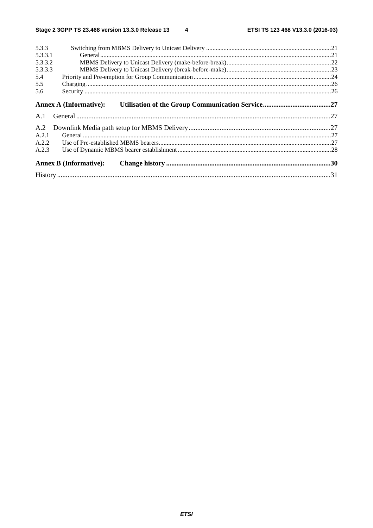| 5.3.3   |                               |  |  |  |  |  |
|---------|-------------------------------|--|--|--|--|--|
| 5.3.3.1 |                               |  |  |  |  |  |
| 5.3.3.2 |                               |  |  |  |  |  |
| 5.3.3.3 |                               |  |  |  |  |  |
| 5.4     |                               |  |  |  |  |  |
| 5.5     |                               |  |  |  |  |  |
| 5.6     |                               |  |  |  |  |  |
|         | <b>Annex A (Informative):</b> |  |  |  |  |  |
| A.1     |                               |  |  |  |  |  |
| A.2     |                               |  |  |  |  |  |
| A.2.1   |                               |  |  |  |  |  |
| A.2.2   |                               |  |  |  |  |  |
| A.2.3   |                               |  |  |  |  |  |
|         | <b>Annex B (Informative):</b> |  |  |  |  |  |
|         |                               |  |  |  |  |  |
|         |                               |  |  |  |  |  |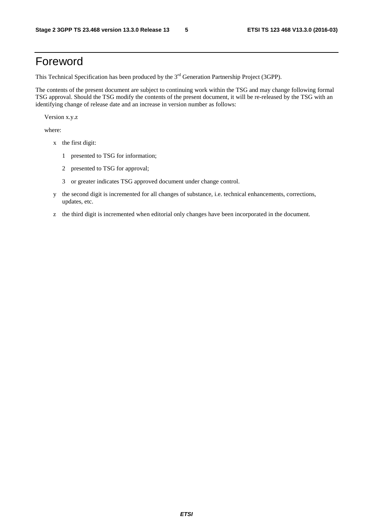# Foreword

This Technical Specification has been produced by the 3<sup>rd</sup> Generation Partnership Project (3GPP).

The contents of the present document are subject to continuing work within the TSG and may change following formal TSG approval. Should the TSG modify the contents of the present document, it will be re-released by the TSG with an identifying change of release date and an increase in version number as follows:

Version x.y.z

where:

- x the first digit:
	- 1 presented to TSG for information;
	- 2 presented to TSG for approval;
	- 3 or greater indicates TSG approved document under change control.
- y the second digit is incremented for all changes of substance, i.e. technical enhancements, corrections, updates, etc.
- z the third digit is incremented when editorial only changes have been incorporated in the document.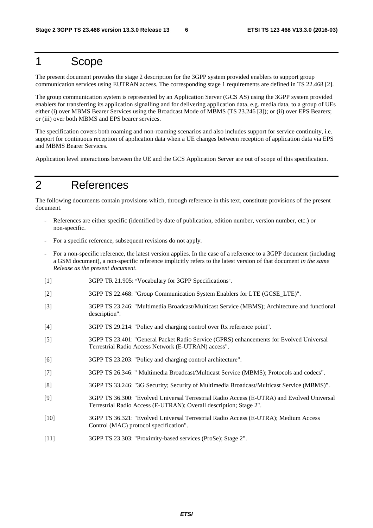# 1 Scope

The present document provides the stage 2 description for the 3GPP system provided enablers to support group communication services using EUTRAN access. The corresponding stage 1 requirements are defined in TS 22.468 [2].

The group communication system is represented by an Application Server (GCS AS) using the 3GPP system provided enablers for transferring its application signalling and for delivering application data, e.g. media data, to a group of UEs either (i) over MBMS Bearer Services using the Broadcast Mode of MBMS (TS 23.246 [3]); or (ii) over EPS Bearers; or (iii) over both MBMS and EPS bearer services.

The specification covers both roaming and non-roaming scenarios and also includes support for service continuity, i.e. support for continuous reception of application data when a UE changes between reception of application data via EPS and MBMS Bearer Services.

Application level interactions between the UE and the GCS Application Server are out of scope of this specification.

# 2 References

The following documents contain provisions which, through reference in this text, constitute provisions of the present document.

- References are either specific (identified by date of publication, edition number, version number, etc.) or non-specific.
- For a specific reference, subsequent revisions do not apply.
- For a non-specific reference, the latest version applies. In the case of a reference to a 3GPP document (including a GSM document), a non-specific reference implicitly refers to the latest version of that document *in the same Release as the present document*.
- [1] 3GPP TR 21.905: "Vocabulary for 3GPP Specifications".
- [2] 3GPP TS 22.468: "Group Communication System Enablers for LTE (GCSE\_LTE)".
- [3] 3GPP TS 23.246: "Multimedia Broadcast/Multicast Service (MBMS); Architecture and functional description".
- [4] 3GPP TS 29.214: "Policy and charging control over Rx reference point".
- [5] 3GPP TS 23.401: "General Packet Radio Service (GPRS) enhancements for Evolved Universal Terrestrial Radio Access Network (E-UTRAN) access".
- [6] 3GPP TS 23.203: "Policy and charging control architecture".
- [7] 3GPP TS 26.346: " Multimedia Broadcast/Multicast Service (MBMS); Protocols and codecs".
- [8] 3GPP TS 33.246: "3G Security; Security of Multimedia Broadcast/Multicast Service (MBMS)".
- [9] 3GPP TS 36.300: "Evolved Universal Terrestrial Radio Access (E-UTRA) and Evolved Universal Terrestrial Radio Access (E-UTRAN); Overall description; Stage 2".
- [10] 3GPP TS 36.321: "Evolved Universal Terrestrial Radio Access (E-UTRA); Medium Access Control (MAC) protocol specification".
- [11] 3GPP TS 23.303: "Proximity-based services (ProSe); Stage 2".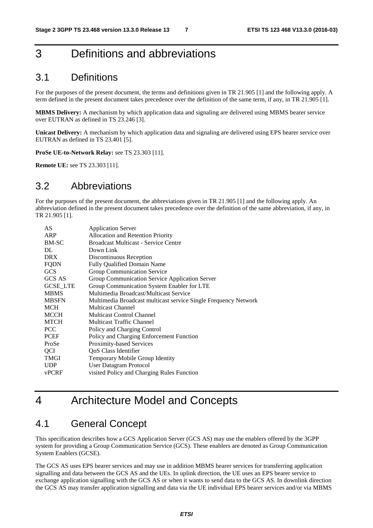# 3 Definitions and abbreviations

### 3.1 Definitions

For the purposes of the present document, the terms and definitions given in TR 21.905 [1] and the following apply. A term defined in the present document takes precedence over the definition of the same term, if any, in TR 21.905 [1].

**MBMS Delivery:** A mechanism by which application data and signaling are delivered using MBMS bearer service over EUTRAN as defined in TS 23.246 [3].

**Unicast Delivery:** A mechanism by which application data and signaling are delivered using EPS bearer service over EUTRAN as defined in TS 23.401 [5].

**ProSe UE-to-Network Relay:** see TS 23.303 [11].

**Remote UE:** see TS 23.303 [11].

### 3.2 Abbreviations

For the purposes of the present document, the abbreviations given in TR 21.905 [1] and the following apply. An abbreviation defined in the present document takes precedence over the definition of the same abbreviation, if any, in TR 21.905 [1].

| AS              | <b>Application Server</b>                                       |
|-----------------|-----------------------------------------------------------------|
| ARP             | Allocation and Retention Priority                               |
| BM-SC           | <b>Broadcast Multicast - Service Centre</b>                     |
| DL              | Down Link                                                       |
| <b>DRX</b>      | Discontinuous Reception                                         |
| FQDN            | Fully Qualified Domain Name                                     |
| <b>GCS</b>      | Group Communication Service                                     |
| <b>GCS AS</b>   | Group Communication Service Application Server                  |
| <b>GCSE LTE</b> | Group Communication System Enabler for LTE                      |
| <b>MBMS</b>     | Multimedia Broadcast/Multicast Service                          |
| <b>MBSFN</b>    | Multimedia Broadcast multicast service Single Frequency Network |
| <b>MCH</b>      | Multicast Channel                                               |
| MCCH            | <b>Multicast Control Channel</b>                                |
| MTCH            | <b>Multicast Traffic Channel</b>                                |
| <b>PCC</b>      | Policy and Charging Control                                     |
| PCEF            | Policy and Charging Enforcement Function                        |
| ProSe           | Proximity-based Services                                        |
| QCI             | QoS Class Identifier                                            |
| <b>TMGI</b>     | Temporary Mobile Group Identity                                 |
| <b>UDP</b>      | User Datagram Protocol                                          |
| <b>vPCRF</b>    | visited Policy and Charging Rules Function                      |
|                 |                                                                 |

# 4 Architecture Model and Concepts

## 4.1 General Concept

This specification describes how a GCS Application Server (GCS AS) may use the enablers offered by the 3GPP system for providing a Group Communication Service (GCS). These enablers are denoted as Group Communication System Enablers (GCSE).

The GCS AS uses EPS bearer services and may use in addition MBMS bearer services for transferring application signalling and data between the GCS AS and the UEs. In uplink direction, the UE uses an EPS bearer service to exchange application signalling with the GCS AS or when it wants to send data to the GCS AS. In downlink direction the GCS AS may transfer application signalling and data via the UE individual EPS bearer services and/or via MBMS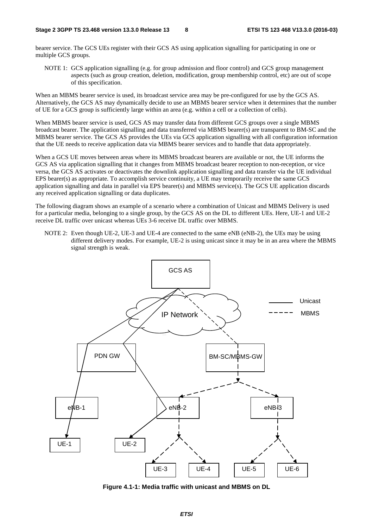bearer service. The GCS UEs register with their GCS AS using application signalling for participating in one or multiple GCS groups.

NOTE 1: GCS application signalling (e.g. for group admission and floor control) and GCS group management aspects (such as group creation, deletion, modification, group membership control, etc) are out of scope of this specification.

When an MBMS bearer service is used, its broadcast service area may be pre-configured for use by the GCS AS. Alternatively, the GCS AS may dynamically decide to use an MBMS bearer service when it determines that the number of UE for a GCS group is sufficiently large within an area (e.g. within a cell or a collection of cells).

When MBMS bearer service is used, GCS AS may transfer data from different GCS groups over a single MBMS broadcast bearer. The application signalling and data transferred via MBMS bearer(s) are transparent to BM-SC and the MBMS bearer service. The GCS AS provides the UEs via GCS application signalling with all configuration information that the UE needs to receive application data via MBMS bearer services and to handle that data appropriately.

When a GCS UE moves between areas where its MBMS broadcast bearers are available or not, the UE informs the GCS AS via application signalling that it changes from MBMS broadcast bearer reception to non-reception, or vice versa, the GCS AS activates or deactivates the downlink application signalling and data transfer via the UE individual EPS bearer(s) as appropriate. To accomplish service continuity, a UE may temporarily receive the same GCS application signalling and data in parallel via EPS bearer(s) and MBMS service(s). The GCS UE application discards any received application signalling or data duplicates.

The following diagram shows an example of a scenario where a combination of Unicast and MBMS Delivery is used for a particular media, belonging to a single group, by the GCS AS on the DL to different UEs. Here, UE-1 and UE-2 receive DL traffic over unicast whereas UEs 3-6 receive DL traffic over MBMS.

NOTE 2: Even though UE-2, UE-3 and UE-4 are connected to the same eNB (eNB-2), the UEs may be using different delivery modes. For example, UE-2 is using unicast since it may be in an area where the MBMS signal strength is weak.



**Figure 4.1-1: Media traffic with unicast and MBMS on DL**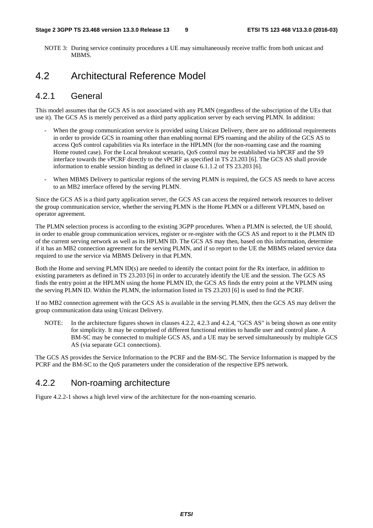NOTE 3: During service continuity procedures a UE may simultaneously receive traffic from both unicast and **MBMS** 

### 4.2 Architectural Reference Model

#### 4.2.1 General

This model assumes that the GCS AS is not associated with any PLMN (regardless of the subscription of the UEs that use it). The GCS AS is merely perceived as a third party application server by each serving PLMN. In addition:

- When the group communication service is provided using Unicast Delivery, there are no additional requirements in order to provide GCS in roaming other than enabling normal EPS roaming and the ability of the GCS AS to access QoS control capabilities via Rx interface in the HPLMN (for the non-roaming case and the roaming Home routed case). For the Local breakout scenario, QoS control may be established via hPCRF and the S9 interface towards the vPCRF directly to the vPCRF as specified in TS 23.203 [6]. The GCS AS shall provide information to enable session binding as defined in clause 6.1.1.2 of TS 23.203 [6].
- When MBMS Delivery to particular regions of the serving PLMN is required, the GCS AS needs to have access to an MB2 interface offered by the serving PLMN.

Since the GCS AS is a third party application server, the GCS AS can access the required network resources to deliver the group communication service, whether the serving PLMN is the Home PLMN or a different VPLMN, based on operator agreement.

The PLMN selection process is according to the existing 3GPP procedures. When a PLMN is selected, the UE should, in order to enable group communication services, register or re-register with the GCS AS and report to it the PLMN ID of the current serving network as well as its HPLMN ID. The GCS AS may then, based on this information, determine if it has an MB2 connection agreement for the serving PLMN, and if so report to the UE the MBMS related service data required to use the service via MBMS Delivery in that PLMN.

Both the Home and serving PLMN ID(s) are needed to identify the contact point for the Rx interface, in addition to existing parameters as defined in TS 23.203 [6] in order to accurately identify the UE and the session. The GCS AS finds the entry point at the HPLMN using the home PLMN ID, the GCS AS finds the entry point at the VPLMN using the serving PLMN ID. Within the PLMN, the information listed in TS 23.203 [6] is used to find the PCRF.

If no MB2 connection agreement with the GCS AS is available in the serving PLMN, then the GCS AS may deliver the group communication data using Unicast Delivery.

NOTE: In the architecture figures shown in clauses 4.2.2, 4.2.3 and 4.2.4, "GCS AS" is being shown as one entity for simplicity. It may be comprised of different functional entities to handle user and control plane. A BM-SC may be connected to multiple GCS AS, and a UE may be served simultaneously by multiple GCS AS (via separate GC1 connections).

The GCS AS provides the Service Information to the PCRF and the BM-SC. The Service Information is mapped by the PCRF and the BM-SC to the QoS parameters under the consideration of the respective EPS network.

### 4.2.2 Non-roaming architecture

Figure 4.2.2-1 shows a high level view of the architecture for the non-roaming scenario.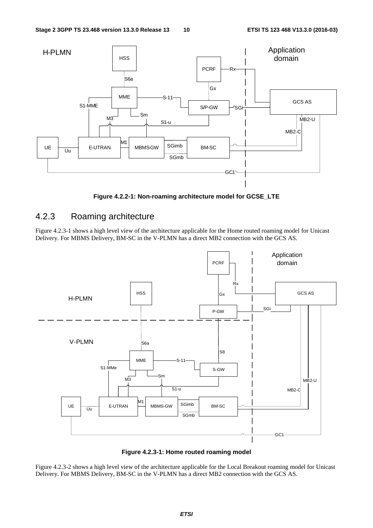

**Figure 4.2.2-1: Non-roaming architecture model for GCSE\_LTE** 

#### 4.2.3 Roaming architecture

Figure 4.2.3-1 shows a high level view of the architecture applicable for the Home routed roaming model for Unicast Delivery. For MBMS Delivery, BM-SC in the V-PLMN has a direct MB2 connection with the GCS AS.



**Figure 4.2.3-1: Home routed roaming model** 

Figure 4.2.3-2 shows a high level view of the architecture applicable for the Local Breakout roaming model for Unicast Delivery. For MBMS Delivery, BM-SC in the V-PLMN has a direct MB2 connection with the GCS AS.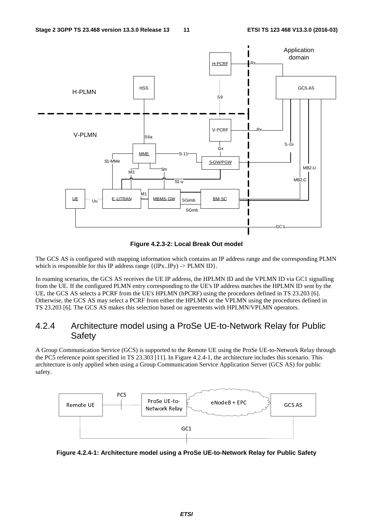

**Figure 4.2.3-2: Local Break Out model** 

The GCS AS is configured with mapping information which contains an IP address range and the corresponding PLMN which is responsible for this IP address range  $\{(\text{IPx}...\text{IPy}) \rightarrow \text{PLMN ID}\}.$ 

In roaming scenarios, the GCS AS receives the UE IP address, the HPLMN ID and the VPLMN ID via GC1 signalling from the UE. If the configured PLMN entry corresponding to the UE's IP address matches the HPLMN ID sent by the UE, the GCS AS selects a PCRF from the UE's HPLMN (hPCRF) using the procedures defined in TS 23.203 [6]. Otherwise, the GCS AS may select a PCRF from either the HPLMN or the VPLMN using the procedures defined in TS 23.203 [6]. The GCS AS makes this selection based on agreements with HPLMN/VPLMN operators.

### 4.2.4 Architecture model using a ProSe UE-to-Network Relay for Public **Safety**

A Group Communication Service (GCS) is supported to the Remote UE using the ProSe UE-to-Network Relay through the PC5 reference point specified in TS 23.303 [11]. In Figure 4.2.4-1, the architecture includes this scenario. This architecture is only applied when using a Group Communication Service Application Server (GCS AS) for public safety.



**Figure 4.2.4-1: Architecture model using a ProSe UE-to-Network Relay for Public Safety**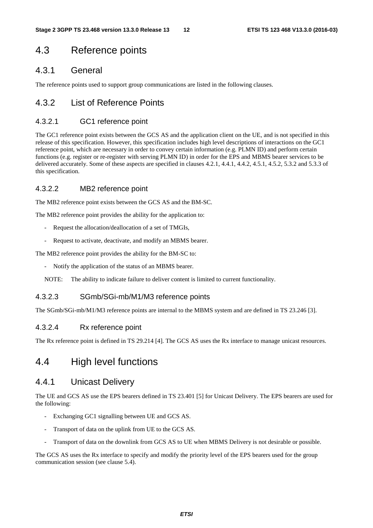# 4.3 Reference points

### 4.3.1 General

The reference points used to support group communications are listed in the following clauses.

### 4.3.2 List of Reference Points

#### 4.3.2.1 GC1 reference point

The GC1 reference point exists between the GCS AS and the application client on the UE, and is not specified in this release of this specification. However, this specification includes high level descriptions of interactions on the GC1 reference point, which are necessary in order to convey certain information (e.g. PLMN ID) and perform certain functions (e.g. register or re-register with serving PLMN ID) in order for the EPS and MBMS bearer services to be delivered accurately. Some of these aspects are specified in clauses 4.2.1, 4.4.1, 4.4.2, 4.5.1, 4.5.2, 5.3.2 and 5.3.3 of this specification.

#### 4.3.2.2 MB2 reference point

The MB2 reference point exists between the GCS AS and the BM-SC.

The MB2 reference point provides the ability for the application to:

- Request the allocation/deallocation of a set of TMGIs,
- Request to activate, deactivate, and modify an MBMS bearer.

The MB2 reference point provides the ability for the BM-SC to:

Notify the application of the status of an MBMS bearer.

NOTE: The ability to indicate failure to deliver content is limited to current functionality.

#### 4.3.2.3 SGmb/SGi-mb/M1/M3 reference points

The SGmb/SGi-mb/M1/M3 reference points are internal to the MBMS system and are defined in TS 23.246 [3].

#### 4.3.2.4 Rx reference point

The Rx reference point is defined in TS 29.214 [4]. The GCS AS uses the Rx interface to manage unicast resources.

### 4.4 High level functions

#### 4.4.1 Unicast Delivery

The UE and GCS AS use the EPS bearers defined in TS 23.401 [5] for Unicast Delivery. The EPS bearers are used for the following:

- Exchanging GC1 signalling between UE and GCS AS.
- Transport of data on the uplink from UE to the GCS AS.
- Transport of data on the downlink from GCS AS to UE when MBMS Delivery is not desirable or possible.

The GCS AS uses the Rx interface to specify and modify the priority level of the EPS bearers used for the group communication session (see clause 5.4).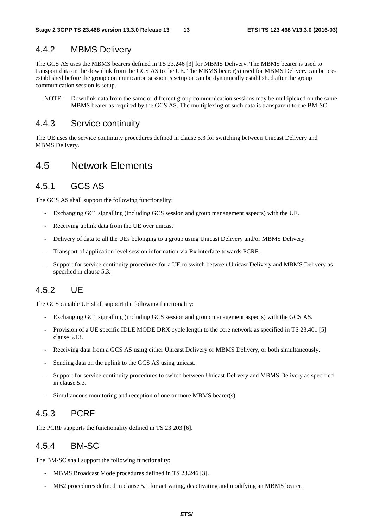### 4.4.2 MBMS Delivery

The GCS AS uses the MBMS bearers defined in TS 23.246 [3] for MBMS Delivery. The MBMS bearer is used to transport data on the downlink from the GCS AS to the UE. The MBMS bearer(s) used for MBMS Delivery can be preestablished before the group communication session is setup or can be dynamically established after the group communication session is setup.

NOTE: Downlink data from the same or different group communication sessions may be multiplexed on the same MBMS bearer as required by the GCS AS. The multiplexing of such data is transparent to the BM-SC.

#### 4.4.3 Service continuity

The UE uses the service continuity procedures defined in clause 5.3 for switching between Unicast Delivery and MBMS Delivery.

### 4.5 Network Elements

### 4.5.1 GCS AS

The GCS AS shall support the following functionality:

- Exchanging GC1 signalling (including GCS session and group management aspects) with the UE.
- Receiving uplink data from the UE over unicast
- Delivery of data to all the UEs belonging to a group using Unicast Delivery and/or MBMS Delivery.
- Transport of application level session information via Rx interface towards PCRF.
- Support for service continuity procedures for a UE to switch between Unicast Delivery and MBMS Delivery as specified in clause 5.3.

### 4.5.2 UE

The GCS capable UE shall support the following functionality:

- Exchanging GC1 signalling (including GCS session and group management aspects) with the GCS AS.
- Provision of a UE specific IDLE MODE DRX cycle length to the core network as specified in TS 23.401 [5] clause 5.13.
- Receiving data from a GCS AS using either Unicast Delivery or MBMS Delivery, or both simultaneously.
- Sending data on the uplink to the GCS AS using unicast.
- Support for service continuity procedures to switch between Unicast Delivery and MBMS Delivery as specified in clause 5.3.
- Simultaneous monitoring and reception of one or more MBMS bearer(s).

### 4.5.3 PCRF

The PCRF supports the functionality defined in TS 23.203 [6].

#### 4.5.4 BM-SC

The BM-SC shall support the following functionality:

- MBMS Broadcast Mode procedures defined in TS 23.246 [3].
- MB2 procedures defined in clause 5.1 for activating, deactivating and modifying an MBMS bearer.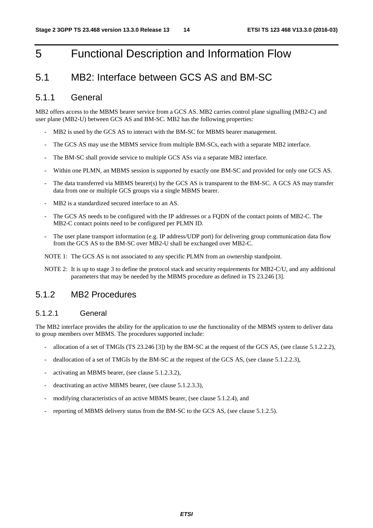# 5 Functional Description and Information Flow

### 5.1 MB2: Interface between GCS AS and BM-SC

#### 5.1.1 General

MB2 offers access to the MBMS bearer service from a GCS AS. MB2 carries control plane signalling (MB2-C) and user plane (MB2-U) between GCS AS and BM-SC. MB2 has the following properties:

- MB2 is used by the GCS AS to interact with the BM-SC for MBMS bearer management.
- The GCS AS may use the MBMS service from multiple BM-SCs, each with a separate MB2 interface.
- The BM-SC shall provide service to multiple GCS ASs via a separate MB2 interface.
- Within one PLMN, an MBMS session is supported by exactly one BM-SC and provided for only one GCS AS.
- The data transferred via MBMS bearer(s) by the GCS AS is transparent to the BM-SC. A GCS AS may transfer data from one or multiple GCS groups via a single MBMS bearer.
- MB<sub>2</sub> is a standardized secured interface to an AS.
- The GCS AS needs to be configured with the IP addresses or a FQDN of the contact points of MB2-C. The MB2-C contact points need to be configured per PLMN ID.
- The user plane transport information (e.g. IP address/UDP port) for delivering group communication data flow from the GCS AS to the BM-SC over MB2-U shall be exchanged over MB2-C.

NOTE 1: The GCS AS is not associated to any specific PLMN from an ownership standpoint.

NOTE 2: It is up to stage 3 to define the protocol stack and security requirements for MB2-C/U, and any additional parameters that may be needed by the MBMS procedure as defined in TS 23.246 [3].

#### 5.1.2 MB2 Procedures

#### 5.1.2.1 General

The MB2 interface provides the ability for the application to use the functionality of the MBMS system to deliver data to group members over MBMS. The procedures supported include:

- allocation of a set of TMGIs (TS 23.246 [3]) by the BM-SC at the request of the GCS AS, (see clause 5.1.2.2.2),
- deallocation of a set of TMGIs by the BM-SC at the request of the GCS AS, (see clause 5.1.2.2.3),
- activating an MBMS bearer, (see clause 5.1.2.3.2),
- deactivating an active MBMS bearer, (see clause 5.1.2.3.3),
- modifying characteristics of an active MBMS bearer, (see clause 5.1.2.4), and
- reporting of MBMS delivery status from the BM-SC to the GCS AS, (see clause 5.1.2.5).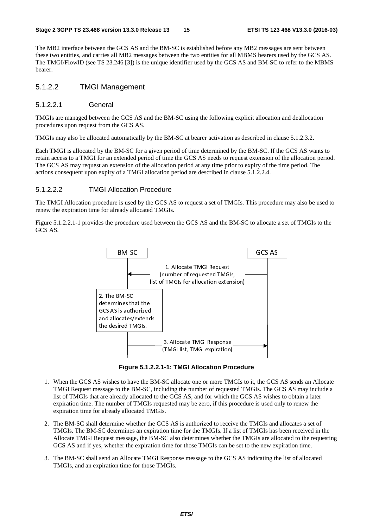The MB2 interface between the GCS AS and the BM-SC is established before any MB2 messages are sent between these two entities, and carries all MB2 messages between the two entities for all MBMS bearers used by the GCS AS. The TMGI/FlowID (see TS 23.246 [3]) is the unique identifier used by the GCS AS and BM-SC to refer to the MBMS bearer.

#### 5.1.2.2 TMGI Management

#### 5.1.2.2.1 General

TMGIs are managed between the GCS AS and the BM-SC using the following explicit allocation and deallocation procedures upon request from the GCS AS.

TMGIs may also be allocated automatically by the BM-SC at bearer activation as described in clause 5.1.2.3.2.

Each TMGI is allocated by the BM-SC for a given period of time determined by the BM-SC. If the GCS AS wants to retain access to a TMGI for an extended period of time the GCS AS needs to request extension of the allocation period. The GCS AS may request an extension of the allocation period at any time prior to expiry of the time period. The actions consequent upon expiry of a TMGI allocation period are described in clause 5.1.2.2.4.

#### 5.1.2.2.2 TMGI Allocation Procedure

The TMGI Allocation procedure is used by the GCS AS to request a set of TMGIs. This procedure may also be used to renew the expiration time for already allocated TMGIs.

Figure 5.1.2.2.1-1 provides the procedure used between the GCS AS and the BM-SC to allocate a set of TMGIs to the GCS AS.



**Figure 5.1.2.2.1-1: TMGI Allocation Procedure** 

- 1. When the GCS AS wishes to have the BM-SC allocate one or more TMGIs to it, the GCS AS sends an Allocate TMGI Request message to the BM-SC, including the number of requested TMGIs. The GCS AS may include a list of TMGIs that are already allocated to the GCS AS, and for which the GCS AS wishes to obtain a later expiration time. The number of TMGIs requested may be zero, if this procedure is used only to renew the expiration time for already allocated TMGIs.
- 2. The BM-SC shall determine whether the GCS AS is authorized to receive the TMGIs and allocates a set of TMGIs. The BM-SC determines an expiration time for the TMGIs. If a list of TMGIs has been received in the Allocate TMGI Request message, the BM-SC also determines whether the TMGIs are allocated to the requesting GCS AS and if yes, whether the expiration time for those TMGIs can be set to the new expiration time.
- 3. The BM-SC shall send an Allocate TMGI Response message to the GCS AS indicating the list of allocated TMGIs, and an expiration time for those TMGIs.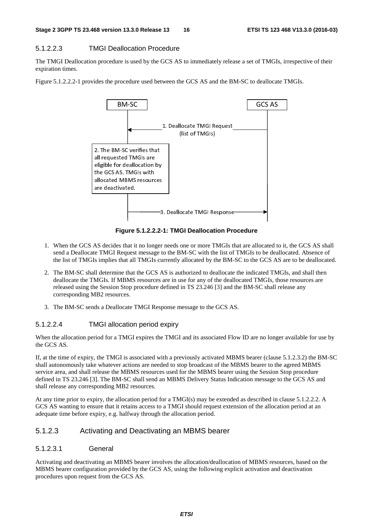#### 5.1.2.2.3 TMGI Deallocation Procedure

The TMGI Deallocation procedure is used by the GCS AS to immediately release a set of TMGIs, irrespective of their expiration times.

Figure 5.1.2.2.2-1 provides the procedure used between the GCS AS and the BM-SC to deallocate TMGIs.



**Figure 5.1.2.2.2-1: TMGI Deallocation Procedure** 

- 1. When the GCS AS decides that it no longer needs one or more TMGIs that are allocated to it, the GCS AS shall send a Deallocate TMGI Request message to the BM-SC with the list of TMGIs to be deallocated. Absence of the list of TMGIs implies that all TMGIs currently allocated by the BM-SC to the GCS AS are to be deallocated.
- 2. The BM-SC shall determine that the GCS AS is authorized to deallocate the indicated TMGIs, and shall then deallocate the TMGIs. If MBMS resources are in use for any of the deallocated TMGIs, those resources are released using the Session Stop procedure defined in TS 23.246 [3] and the BM-SC shall release any corresponding MB2 resources.
- 3. The BM-SC sends a Deallocate TMGI Response message to the GCS AS.

#### 5.1.2.2.4 TMGI allocation period expiry

When the allocation period for a TMGI expires the TMGI and its associated Flow ID are no longer available for use by the GCS AS.

If, at the time of expiry, the TMGI is associated with a previously activated MBMS bearer (clause 5.1.2.3.2) the BM-SC shall autonomously take whatever actions are needed to stop broadcast of the MBMS bearer to the agreed MBMS service area, and shall release the MBMS resources used for the MBMS bearer using the Session Stop procedure defined in TS 23.246 [3]. The BM-SC shall send an MBMS Delivery Status Indication message to the GCS AS and shall release any corresponding MB2 resources.

At any time prior to expiry, the allocation period for a TMGI(s) may be extended as described in clause 5.1.2.2.2. A GCS AS wanting to ensure that it retains access to a TMGI should request extension of the allocation period at an adequate time before expiry, e.g. halfway through the allocation period.

#### 5.1.2.3 Activating and Deactivating an MBMS bearer

#### 5.1.2.3.1 General

Activating and deactivating an MBMS bearer involves the allocation/deallocation of MBMS resources, based on the MBMS bearer configuration provided by the GCS AS, using the following explicit activation and deactivation procedures upon request from the GCS AS.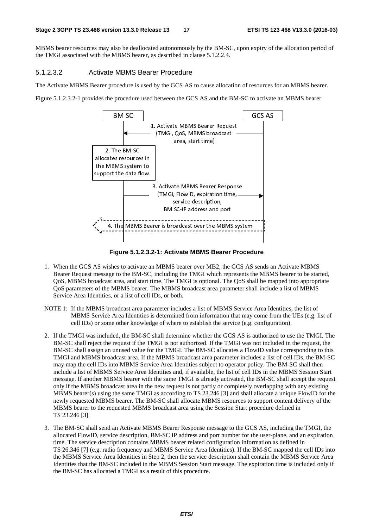MBMS bearer resources may also be deallocated autonomously by the BM-SC, upon expiry of the allocation period of the TMGI associated with the MBMS bearer, as described in clause 5.1.2.2.4.

#### 5.1.2.3.2 Activate MBMS Bearer Procedure

The Activate MBMS Bearer procedure is used by the GCS AS to cause allocation of resources for an MBMS bearer.

Figure 5.1.2.3.2-1 provides the procedure used between the GCS AS and the BM-SC to activate an MBMS bearer.



**Figure 5.1.2.3.2-1: Activate MBMS Bearer Procedure** 

- 1. When the GCS AS wishes to activate an MBMS bearer over MB2, the GCS AS sends an Activate MBMS Bearer Request message to the BM-SC, including the TMGI which represents the MBMS bearer to be started, QoS, MBMS broadcast area, and start time. The TMGI is optional. The QoS shall be mapped into appropriate QoS parameters of the MBMS bearer. The MBMS broadcast area parameter shall include a list of MBMS Service Area Identities, or a list of cell IDs, or both.
- NOTE 1: If the MBMS broadcast area parameter includes a list of MBMS Service Area Identities, the list of MBMS Service Area Identities is determined from information that may come from the UEs (e.g. list of cell IDs) or some other knowledge of where to establish the service (e.g. configuration).
- 2. If the TMGI was included, the BM-SC shall determine whether the GCS AS is authorized to use the TMGI. The BM-SC shall reject the request if the TMGI is not authorized. If the TMGI was not included in the request, the BM-SC shall assign an unused value for the TMGI. The BM-SC allocates a FlowID value corresponding to this TMGI and MBMS broadcast area. If the MBMS broadcast area parameter includes a list of cell IDs, the BM-SC may map the cell IDs into MBMS Service Area Identities subject to operator policy. The BM-SC shall then include a list of MBMS Service Area Identities and, if available, the list of cell IDs in the MBMS Session Start message. If another MBMS bearer with the same TMGI is already activated, the BM-SC shall accept the request only if the MBMS broadcast area in the new request is not partly or completely overlapping with any existing MBMS bearer(s) using the same TMGI as according to TS 23.246 [3] and shall allocate a unique FlowID for the newly requested MBMS bearer. The BM-SC shall allocate MBMS resources to support content delivery of the MBMS bearer to the requested MBMS broadcast area using the Session Start procedure defined in TS 23.246 [3].
- 3. The BM-SC shall send an Activate MBMS Bearer Response message to the GCS AS, including the TMGI, the allocated FlowID, service description, BM-SC IP address and port number for the user-plane, and an expiration time. The service description contains MBMS bearer related configuration information as defined in TS 26.346 [7] (e.g. radio frequency and MBMS Service Area Identities). If the BM-SC mapped the cell IDs into the MBMS Service Area Identities in Step 2, then the service description shall contain the MBMS Service Area Identities that the BM-SC included in the MBMS Session Start message. The expiration time is included only if the BM-SC has allocated a TMGI as a result of this procedure.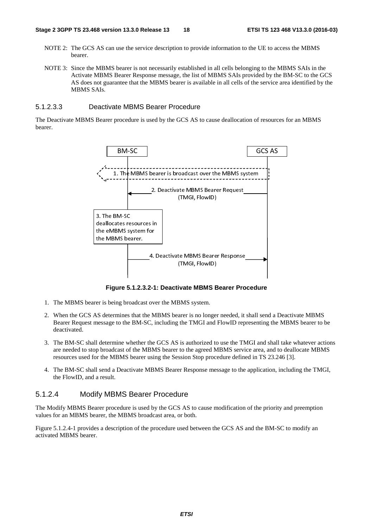- NOTE 2: The GCS AS can use the service description to provide information to the UE to access the MBMS bearer.
- NOTE 3: Since the MBMS bearer is not necessarily established in all cells belonging to the MBMS SAIs in the Activate MBMS Bearer Response message, the list of MBMS SAIs provided by the BM-SC to the GCS AS does not guarantee that the MBMS bearer is available in all cells of the service area identified by the MBMS SAIs.

#### 5.1.2.3.3 Deactivate MBMS Bearer Procedure

The Deactivate MBMS Bearer procedure is used by the GCS AS to cause deallocation of resources for an MBMS bearer.



**Figure 5.1.2.3.2-1: Deactivate MBMS Bearer Procedure** 

- 1. The MBMS bearer is being broadcast over the MBMS system.
- 2. When the GCS AS determines that the MBMS bearer is no longer needed, it shall send a Deactivate MBMS Bearer Request message to the BM-SC, including the TMGI and FlowID representing the MBMS bearer to be deactivated.
- 3. The BM-SC shall determine whether the GCS AS is authorized to use the TMGI and shall take whatever actions are needed to stop broadcast of the MBMS bearer to the agreed MBMS service area, and to deallocate MBMS resources used for the MBMS bearer using the Session Stop procedure defined in TS 23.246 [3].
- 4. The BM-SC shall send a Deactivate MBMS Bearer Response message to the application, including the TMGI, the FlowID, and a result.

#### 5.1.2.4 Modify MBMS Bearer Procedure

The Modify MBMS Bearer procedure is used by the GCS AS to cause modification of the priority and preemption values for an MBMS bearer, the MBMS broadcast area, or both.

Figure 5.1.2.4-1 provides a description of the procedure used between the GCS AS and the BM-SC to modify an activated MBMS bearer.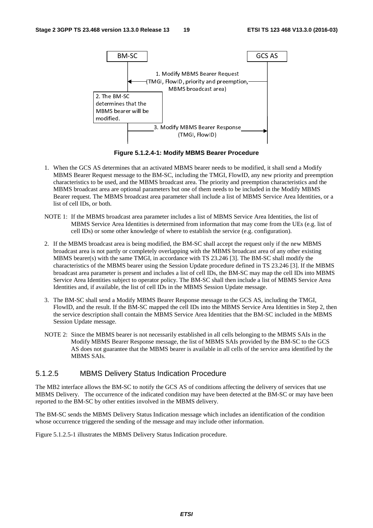

**Figure 5.1.2.4-1: Modify MBMS Bearer Procedure** 

- 1. When the GCS AS determines that an activated MBMS bearer needs to be modified, it shall send a Modify MBMS Bearer Request message to the BM-SC, including the TMGI, FlowID, any new priority and preemption characteristics to be used, and the MBMS broadcast area. The priority and preemption characteristics and the MBMS broadcast area are optional parameters but one of them needs to be included in the Modify MBMS Bearer request. The MBMS broadcast area parameter shall include a list of MBMS Service Area Identities, or a list of cell IDs, or both.
- NOTE 1: If the MBMS broadcast area parameter includes a list of MBMS Service Area Identities, the list of MBMS Service Area Identities is determined from information that may come from the UEs (e.g. list of cell IDs) or some other knowledge of where to establish the service (e.g. configuration).
- 2. If the MBMS broadcast area is being modified, the BM-SC shall accept the request only if the new MBMS broadcast area is not partly or completely overlapping with the MBMS broadcast area of any other existing MBMS bearer(s) with the same TMGI, in accordance with TS 23.246 [3]. The BM-SC shall modify the characteristics of the MBMS bearer using the Session Update procedure defined in TS 23.246 [3]. If the MBMS broadcast area parameter is present and includes a list of cell IDs, the BM-SC may map the cell IDs into MBMS Service Area Identities subject to operator policy. The BM-SC shall then include a list of MBMS Service Area Identities and, if available, the list of cell IDs in the MBMS Session Update message.
- 3. The BM-SC shall send a Modify MBMS Bearer Response message to the GCS AS, including the TMGI, FlowID, and the result. If the BM-SC mapped the cell IDs into the MBMS Service Area Identities in Step 2, then the service description shall contain the MBMS Service Area Identities that the BM-SC included in the MBMS Session Update message.
- NOTE 2: Since the MBMS bearer is not necessarily established in all cells belonging to the MBMS SAIs in the Modify MBMS Bearer Response message, the list of MBMS SAIs provided by the BM-SC to the GCS AS does not guarantee that the MBMS bearer is available in all cells of the service area identified by the MBMS SAIs.

#### 5.1.2.5 MBMS Delivery Status Indication Procedure

The MB2 interface allows the BM-SC to notify the GCS AS of conditions affecting the delivery of services that use MBMS Delivery. The occurrence of the indicated condition may have been detected at the BM-SC or may have been reported to the BM-SC by other entities involved in the MBMS delivery.

The BM-SC sends the MBMS Delivery Status Indication message which includes an identification of the condition whose occurrence triggered the sending of the message and may include other information.

Figure 5.1.2.5-1 illustrates the MBMS Delivery Status Indication procedure.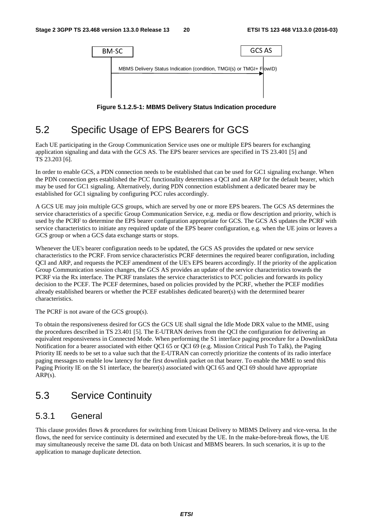

**Figure 5.1.2.5-1: MBMS Delivery Status Indication procedure** 

# 5.2 Specific Usage of EPS Bearers for GCS

Each UE participating in the Group Communication Service uses one or multiple EPS bearers for exchanging application signaling and data with the GCS AS. The EPS bearer services are specified in TS 23.401 [5] and TS 23.203 [6].

In order to enable GCS, a PDN connection needs to be established that can be used for GC1 signaling exchange. When the PDN connection gets established the PCC functionality determines a QCI and an ARP for the default bearer, which may be used for GC1 signaling. Alternatively, during PDN connection establishment a dedicated bearer may be established for GC1 signaling by configuring PCC rules accordingly.

A GCS UE may join multiple GCS groups, which are served by one or more EPS bearers. The GCS AS determines the service characteristics of a specific Group Communication Service, e.g. media or flow description and priority, which is used by the PCRF to determine the EPS bearer configuration appropriate for GCS. The GCS AS updates the PCRF with service characteristics to initiate any required update of the EPS bearer configuration, e.g. when the UE joins or leaves a GCS group or when a GCS data exchange starts or stops.

Whenever the UE's bearer configuration needs to be updated, the GCS AS provides the updated or new service characteristics to the PCRF. From service characteristics PCRF determines the required bearer configuration, including QCI and ARP, and requests the PCEF amendment of the UE's EPS bearers accordingly. If the priority of the application Group Communication session changes, the GCS AS provides an update of the service characteristics towards the PCRF via the Rx interface. The PCRF translates the service characteristics to PCC policies and forwards its policy decision to the PCEF. The PCEF determines, based on policies provided by the PCRF, whether the PCEF modifies already established bearers or whether the PCEF establishes dedicated bearer(s) with the determined bearer characteristics.

The PCRF is not aware of the GCS group(s).

To obtain the responsiveness desired for GCS the GCS UE shall signal the Idle Mode DRX value to the MME, using the procedures described in TS 23.401 [5]. The E-UTRAN derives from the QCI the configuration for delivering an equivalent responsiveness in Connected Mode. When performing the S1 interface paging procedure for a DownlinkData Notification for a bearer associated with either QCI 65 or QCI 69 (e.g. Mission Critical Push To Talk), the Paging Priority IE needs to be set to a value such that the E-UTRAN can correctly prioritize the contents of its radio interface paging messages to enable low latency for the first downlink packet on that bearer. To enable the MME to send this Paging Priority IE on the S1 interface, the bearer(s) associated with QCI 65 and QCI 69 should have appropriate ARP(s).

# 5.3 Service Continuity

### 5.3.1 General

This clause provides flows & procedures for switching from Unicast Delivery to MBMS Delivery and vice-versa. In the flows, the need for service continuity is determined and executed by the UE. In the make-before-break flows, the UE may simultaneously receive the same DL data on both Unicast and MBMS bearers. In such scenarios, it is up to the application to manage duplicate detection.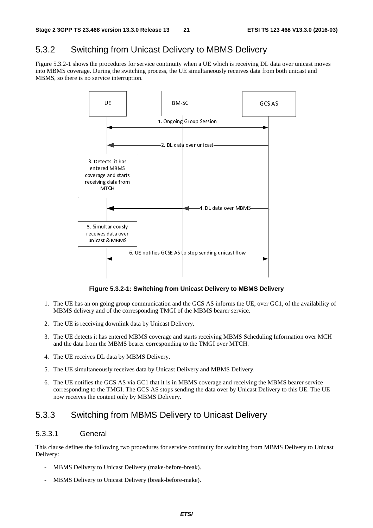### 5.3.2 Switching from Unicast Delivery to MBMS Delivery

Figure 5.3.2-1 shows the procedures for service continuity when a UE which is receiving DL data over unicast moves into MBMS coverage. During the switching process, the UE simultaneously receives data from both unicast and MBMS, so there is no service interruption.



**Figure 5.3.2-1: Switching from Unicast Delivery to MBMS Delivery** 

- 1. The UE has an on going group communication and the GCS AS informs the UE, over GC1, of the availability of MBMS delivery and of the corresponding TMGI of the MBMS bearer service.
- 2. The UE is receiving downlink data by Unicast Delivery.
- 3. The UE detects it has entered MBMS coverage and starts receiving MBMS Scheduling Information over MCH and the data from the MBMS bearer corresponding to the TMGI over MTCH.
- 4. The UE receives DL data by MBMS Delivery.
- 5. The UE simultaneously receives data by Unicast Delivery and MBMS Delivery.
- 6. The UE notifies the GCS AS via GC1 that it is in MBMS coverage and receiving the MBMS bearer service corresponding to the TMGI. The GCS AS stops sending the data over by Unicast Delivery to this UE. The UE now receives the content only by MBMS Delivery.

### 5.3.3 Switching from MBMS Delivery to Unicast Delivery

#### 5.3.3.1 General

This clause defines the following two procedures for service continuity for switching from MBMS Delivery to Unicast Delivery:

- MBMS Delivery to Unicast Delivery (make-before-break).
- MBMS Delivery to Unicast Delivery (break-before-make).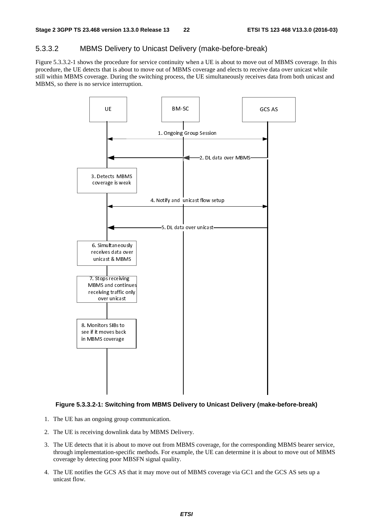#### 5.3.3.2 MBMS Delivery to Unicast Delivery (make-before-break)

Figure 5.3.3.2-1 shows the procedure for service continuity when a UE is about to move out of MBMS coverage. In this procedure, the UE detects that is about to move out of MBMS coverage and elects to receive data over unicast while still within MBMS coverage. During the switching process, the UE simultaneously receives data from both unicast and MBMS, so there is no service interruption.



#### **Figure 5.3.3.2-1: Switching from MBMS Delivery to Unicast Delivery (make-before-break)**

- 1. The UE has an ongoing group communication.
- 2. The UE is receiving downlink data by MBMS Delivery.
- 3. The UE detects that it is about to move out from MBMS coverage, for the corresponding MBMS bearer service, through implementation-specific methods. For example, the UE can determine it is about to move out of MBMS coverage by detecting poor MBSFN signal quality.
- 4. The UE notifies the GCS AS that it may move out of MBMS coverage via GC1 and the GCS AS sets up a unicast flow.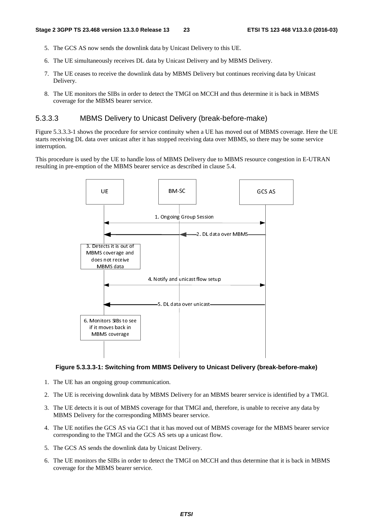- 5. The GCS AS now sends the downlink data by Unicast Delivery to this UE.
- 6. The UE simultaneously receives DL data by Unicast Delivery and by MBMS Delivery.
- 7. The UE ceases to receive the downlink data by MBMS Delivery but continues receiving data by Unicast Delivery.
- 8. The UE monitors the SIBs in order to detect the TMGI on MCCH and thus determine it is back in MBMS coverage for the MBMS bearer service.

#### 5.3.3.3 MBMS Delivery to Unicast Delivery (break-before-make)

Figure 5.3.3.3-1 shows the procedure for service continuity when a UE has moved out of MBMS coverage. Here the UE starts receiving DL data over unicast after it has stopped receiving data over MBMS, so there may be some service interruption.

This procedure is used by the UE to handle loss of MBMS Delivery due to MBMS resource congestion in E-UTRAN resulting in pre-emption of the MBMS bearer service as described in clause 5.4.



#### **Figure 5.3.3.3-1: Switching from MBMS Delivery to Unicast Delivery (break-before-make)**

- 1. The UE has an ongoing group communication.
- 2. The UE is receiving downlink data by MBMS Delivery for an MBMS bearer service is identified by a TMGI.
- 3. The UE detects it is out of MBMS coverage for that TMGI and, therefore, is unable to receive any data by MBMS Delivery for the corresponding MBMS bearer service.
- 4. The UE notifies the GCS AS via GC1 that it has moved out of MBMS coverage for the MBMS bearer service corresponding to the TMGI and the GCS AS sets up a unicast flow.
- 5. The GCS AS sends the downlink data by Unicast Delivery.
- 6. The UE monitors the SIBs in order to detect the TMGI on MCCH and thus determine that it is back in MBMS coverage for the MBMS bearer service.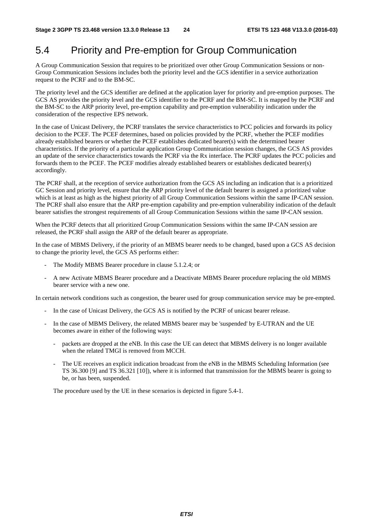## 5.4 Priority and Pre-emption for Group Communication

A Group Communication Session that requires to be prioritized over other Group Communication Sessions or non-Group Communication Sessions includes both the priority level and the GCS identifier in a service authorization request to the PCRF and to the BM-SC.

The priority level and the GCS identifier are defined at the application layer for priority and pre-emption purposes. The GCS AS provides the priority level and the GCS identifier to the PCRF and the BM-SC. It is mapped by the PCRF and the BM-SC to the ARP priority level, pre-emption capability and pre-emption vulnerability indication under the consideration of the respective EPS network.

In the case of Unicast Delivery, the PCRF translates the service characteristics to PCC policies and forwards its policy decision to the PCEF. The PCEF determines, based on policies provided by the PCRF, whether the PCEF modifies already established bearers or whether the PCEF establishes dedicated bearer(s) with the determined bearer characteristics. If the priority of a particular application Group Communication session changes, the GCS AS provides an update of the service characteristics towards the PCRF via the Rx interface. The PCRF updates the PCC policies and forwards them to the PCEF. The PCEF modifies already established bearers or establishes dedicated bearer(s) accordingly.

The PCRF shall, at the reception of service authorization from the GCS AS including an indication that is a prioritized GC Session and priority level, ensure that the ARP priority level of the default bearer is assigned a prioritized value which is at least as high as the highest priority of all Group Communication Sessions within the same IP-CAN session. The PCRF shall also ensure that the ARP pre-emption capability and pre-emption vulnerability indication of the default bearer satisfies the strongest requirements of all Group Communication Sessions within the same IP-CAN session.

When the PCRF detects that all prioritized Group Communication Sessions within the same IP-CAN session are released, the PCRF shall assign the ARP of the default bearer as appropriate.

In the case of MBMS Delivery, if the priority of an MBMS bearer needs to be changed, based upon a GCS AS decision to change the priority level, the GCS AS performs either:

- The Modify MBMS Bearer procedure in clause 5.1.2.4; or
- A new Activate MBMS Bearer procedure and a Deactivate MBMS Bearer procedure replacing the old MBMS bearer service with a new one.

In certain network conditions such as congestion, the bearer used for group communication service may be pre-empted.

- In the case of Unicast Delivery, the GCS AS is notified by the PCRF of unicast bearer release.
- In the case of MBMS Delivery, the related MBMS bearer may be 'suspended' by E-UTRAN and the UE becomes aware in either of the following ways:
	- packets are dropped at the eNB. In this case the UE can detect that MBMS delivery is no longer available when the related TMGI is removed from MCCH.
	- The UE receives an explicit indication broadcast from the eNB in the MBMS Scheduling Information (see TS 36.300 [9] and TS 36.321 [10]), where it is informed that transmission for the MBMS bearer is going to be, or has been, suspended.

The procedure used by the UE in these scenarios is depicted in figure 5.4-1.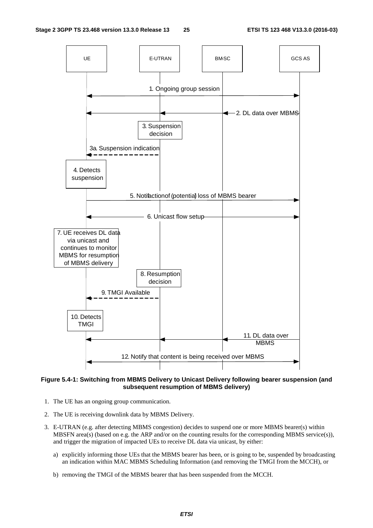

**Figure 5.4-1: Switching from MBMS Delivery to Unicast Delivery following bearer suspension (and subsequent resumption of MBMS delivery)** 

- 1. The UE has an ongoing group communication.
- 2. The UE is receiving downlink data by MBMS Delivery.
- 3. E-UTRAN (e.g. after detecting MBMS congestion) decides to suspend one or more MBMS bearer(s) within MBSFN area(s) (based on e.g. the ARP and/or on the counting results for the corresponding MBMS service(s)), and trigger the migration of impacted UEs to receive DL data via unicast, by either:
	- a) explicitly informing those UEs that the MBMS bearer has been, or is going to be, suspended by broadcasting an indication within MAC MBMS Scheduling Information (and removing the TMGI from the MCCH), or
	- b) removing the TMGI of the MBMS bearer that has been suspended from the MCCH.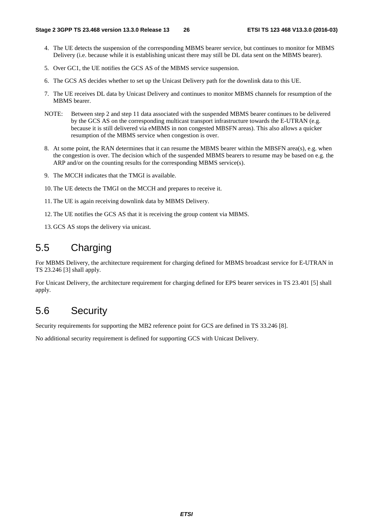- 4. The UE detects the suspension of the corresponding MBMS bearer service, but continues to monitor for MBMS Delivery (i.e. because while it is establishing unicast there may still be DL data sent on the MBMS bearer).
- 5. Over GC1, the UE notifies the GCS AS of the MBMS service suspension.
- 6. The GCS AS decides whether to set up the Unicast Delivery path for the downlink data to this UE.
- 7. The UE receives DL data by Unicast Delivery and continues to monitor MBMS channels for resumption of the MBMS bearer.
- NOTE: Between step 2 and step 11 data associated with the suspended MBMS bearer continues to be delivered by the GCS AS on the corresponding multicast transport infrastructure towards the E-UTRAN (e.g. because it is still delivered via eMBMS in non congested MBSFN areas). This also allows a quicker resumption of the MBMS service when congestion is over.
- 8. At some point, the RAN determines that it can resume the MBMS bearer within the MBSFN area(s), e.g. when the congestion is over. The decision which of the suspended MBMS bearers to resume may be based on e.g. the ARP and/or on the counting results for the corresponding MBMS service(s).
- 9. The MCCH indicates that the TMGI is available.
- 10. The UE detects the TMGI on the MCCH and prepares to receive it.
- 11. The UE is again receiving downlink data by MBMS Delivery.
- 12. The UE notifies the GCS AS that it is receiving the group content via MBMS.
- 13. GCS AS stops the delivery via unicast.

# 5.5 Charging

For MBMS Delivery, the architecture requirement for charging defined for MBMS broadcast service for E-UTRAN in TS 23.246 [3] shall apply.

For Unicast Delivery, the architecture requirement for charging defined for EPS bearer services in TS 23.401 [5] shall apply.

# 5.6 Security

Security requirements for supporting the MB2 reference point for GCS are defined in TS 33.246 [8].

No additional security requirement is defined for supporting GCS with Unicast Delivery.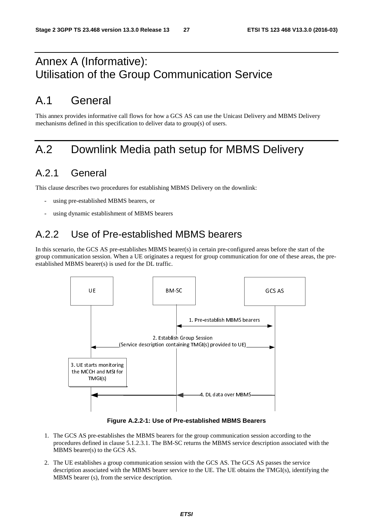# Annex A (Informative): Utilisation of the Group Communication Service

# A.1 General

This annex provides informative call flows for how a GCS AS can use the Unicast Delivery and MBMS Delivery mechanisms defined in this specification to deliver data to group(s) of users.

# A.2 Downlink Media path setup for MBMS Delivery

# A.2.1 General

This clause describes two procedures for establishing MBMS Delivery on the downlink:

- using pre-established MBMS bearers, or
- using dynamic establishment of MBMS bearers

# A.2.2 Use of Pre-established MBMS bearers

In this scenario, the GCS AS pre-establishes MBMS bearer(s) in certain pre-configured areas before the start of the group communication session. When a UE originates a request for group communication for one of these areas, the preestablished MBMS bearer(s) is used for the DL traffic.



**Figure A.2.2-1: Use of Pre-established MBMS Bearers** 

- 1. The GCS AS pre-establishes the MBMS bearers for the group communication session according to the procedures defined in clause 5.1.2.3.1. The BM-SC returns the MBMS service description associated with the MBMS bearer(s) to the GCS AS.
- 2. The UE establishes a group communication session with the GCS AS. The GCS AS passes the service description associated with the MBMS bearer service to the UE. The UE obtains the TMGI(s), identifying the MBMS bearer (s), from the service description.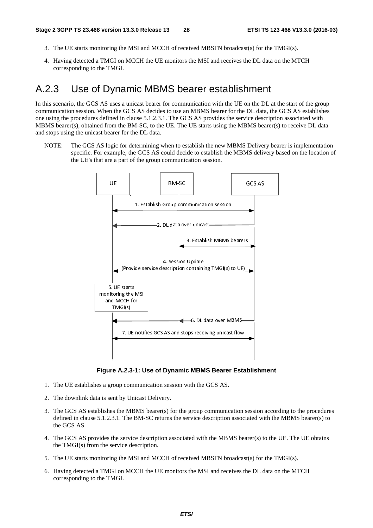- 3. The UE starts monitoring the MSI and MCCH of received MBSFN broadcast(s) for the TMGI(s).
- 4. Having detected a TMGI on MCCH the UE monitors the MSI and receives the DL data on the MTCH corresponding to the TMGI.

### A.2.3 Use of Dynamic MBMS bearer establishment

In this scenario, the GCS AS uses a unicast bearer for communication with the UE on the DL at the start of the group communication session. When the GCS AS decides to use an MBMS bearer for the DL data, the GCS AS establishes one using the procedures defined in clause 5.1.2.3.1. The GCS AS provides the service description associated with MBMS bearer(s), obtained from the BM-SC, to the UE. The UE starts using the MBMS bearer(s) to receive DL data and stops using the unicast bearer for the DL data.

NOTE: The GCS AS logic for determining when to establish the new MBMS Delivery bearer is implementation specific. For example, the GCS AS could decide to establish the MBMS delivery based on the location of the UE's that are a part of the group communication session.



**Figure A.2.3-1: Use of Dynamic MBMS Bearer Establishment** 

- 1. The UE establishes a group communication session with the GCS AS.
- 2. The downlink data is sent by Unicast Delivery.
- 3. The GCS AS establishes the MBMS bearer(s) for the group communication session according to the procedures defined in clause 5.1.2.3.1. The BM-SC returns the service description associated with the MBMS bearer(s) to the GCS AS.
- 4. The GCS AS provides the service description associated with the MBMS bearer(s) to the UE. The UE obtains the TMGI(s) from the service description.
- 5. The UE starts monitoring the MSI and MCCH of received MBSFN broadcast(s) for the TMGI(s).
- 6. Having detected a TMGI on MCCH the UE monitors the MSI and receives the DL data on the MTCH corresponding to the TMGI.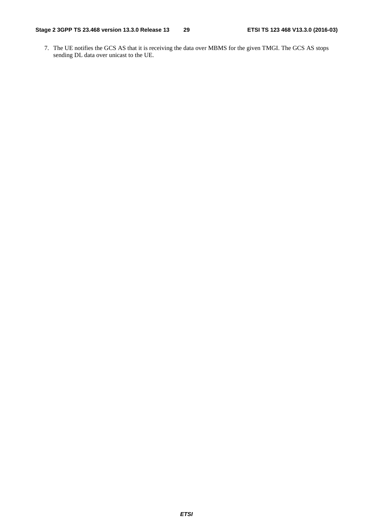7. The UE notifies the GCS AS that it is receiving the data over MBMS for the given TMGI. The GCS AS stops sending DL data over unicast to the UE.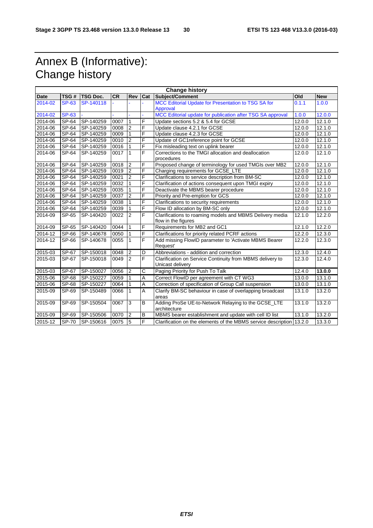# Annex B (Informative): Change history

|             |              |                 |           |                |                | <b>Change history</b>                                                           |        |            |
|-------------|--------------|-----------------|-----------|----------------|----------------|---------------------------------------------------------------------------------|--------|------------|
| <b>Date</b> | TSG#         | <b>TSG Doc.</b> | <b>CR</b> | Rev            | Cat            | Subject/Comment                                                                 | Old    | <b>New</b> |
| 2014-02     | <b>SP-63</b> | SP-140118       | u.        |                | L.             | MCC Editorial Update for Presentation to TSG SA for                             | 0.1.1  | 1.0.0      |
|             |              |                 |           |                |                | Approval                                                                        |        |            |
| 2014-02     | <b>SP-63</b> |                 |           |                |                | MCC Editorial update for publication after TSG SA approval                      | 1.0.0  | 12.0.0     |
| 2014-06     | SP-64        | SP-140259       | 0007      | $\mathbf{1}$   | F              | Update sections 5.2 & 5.4 for GCSE                                              | 12.0.0 | 12.1.0     |
| 2014-06     | SP-64        | SP-140259       | 0008      | $\overline{2}$ | F              | Update clause 4.2.1 for GCSE                                                    | 12.0.0 | 12.1.0     |
| 2014-06     | $SP-64$      | SP-140259       | 0009      | $\mathbf{1}$   | F              | Update clause 4.2.3 for GCSE                                                    | 12.0.0 | 12.1.0     |
| 2014-06     | $SP-64$      | SP-140259       | 0010      | $\overline{2}$ | F              | Update of GC1reference point for GCSE                                           | 12.0.0 | 12.1.0     |
| 2014-06     | $SP-64$      | SP-140259       | 0016      | 1              | F              | Fix misleading text on uplink bearer                                            | 12.0.0 | 12.1.0     |
| 2014-06     | SP-64        | SP-140259       | 0017      | $\mathbf{1}$   | F              | Corrections to the TMGI allocation and deallocation<br>procedures               | 12.0.0 | 12.1.0     |
| 2014-06     | $SP-64$      | SP-140259       | 0018      | $\overline{2}$ | F              | Proposed change of terminology for used TMGIs over MB2                          | 12.0.0 | 12.1.0     |
| 2014-06     | SP-64        | SP-140259       | 0019      | $\overline{2}$ | F              | Charging requirements for GCSE_LTE                                              | 12.0.0 | 12.1.0     |
| 2014-06     | SP-64        | SP-140259       | 0021      | $\overline{2}$ | F              | Clarifications to service description from BM-SC                                | 12.0.0 | 12.1.0     |
| 2014-06     | SP-64        | SP-140259       | 0032      |                | F              | Clarification of actions consequent upon TMGI expiry                            | 12.0.0 | 12.1.0     |
| 2014-06     | SP-64        | SP-140259       | 0035      |                | F              | Deactivate the MBMS bearer procedure                                            | 12.0.0 | 12.1.0     |
| 2014-06     | SP-64        | SP-140259       | 0037      | $\overline{2}$ | F              | Priority and Pre-emption for GCS                                                | 12.0.0 | 12.1.0     |
| 2014-06     | SP-64        | SP-140259       | 0038      |                | F              | Clarifications to security requirements                                         | 12.0.0 | 12.1.0     |
| 2014-06     | SP-64        | SP-140259       | 0039      | $\mathbf{1}$   | F              | Flow ID allocation by BM-SC only                                                | 12.0.0 | 12.1.0     |
| 2014-09     | SP-65        | SP-140420       | 0022      | $\overline{2}$ | F              | Clarifications to roaming models and MBMS Delivery media<br>flow in the figures | 12.1.0 | 12.2.0     |
| 2014-09     | SP-65        | SP-140420       | 0044      | $\mathbf{1}$   | F              | Requirements for MB2 and GC1                                                    | 12.1.0 | 12.2.0     |
| 2014-12     | $SP-66$      | SP-140678       | 0050      | $\mathbf{1}$   | F              | Clarifications for priority related PCRF actions                                | 12.2.0 | 12.3.0     |
| 2014-12     | SP-66        | SP-140678       | 0055      | $\mathbf{1}$   | F              | Add missing FlowID parameter to 'Activate MBMS Bearer<br>Request'               | 12.2.0 | 12.3.0     |
| 2015-03     | SP-67        | SP-150018       | 0048      | $\overline{2}$ | D              | Abbreviations - addition and correction                                         | 12.3.0 | 12.4.0     |
| 2015-03     | SP-67        | SP-150018       | 0049      | $\overline{c}$ | F              | Clarification on Service Continuity from MBMS delivery to<br>Unicast delivery   | 12.3.0 | 12.4.0     |
| 2015-03     | <b>SP-67</b> | SP-150027       | 0056      | $\overline{2}$ | C              | Paging Priority for Push To Talk                                                | 12.4.0 | 13.0.0     |
| 2015-06     | SP-68        | SP-150227       | 0059      | $\mathbf{1}$   | A              | Correct FlowID per agreement with CT WG3                                        | 13.0.0 | 13.1.0     |
| 2015-06     | SP-68        | SP-150227       | 0064      |                | Α              | Correction of specification of Group Call suspension                            | 13.0.0 | 13.1.0     |
| 2015-09     | SP-69        | SP-150489       | 0066      | $\mathbf{1}$   | $\overline{A}$ | Clarify BM-SC behaviour in case of overlapping broadcast<br>areas               | 13.1.0 | 13.2.0     |
| 2015-09     | SP-69        | SP-150504       | 0067      | c              | $\overline{B}$ | Adding ProSe UE-to-Network Relaying to the GCSE_LTE<br>architecture             | 13.1.0 | 13.2.0     |
| 2015-09     | $SF-69$      | SP-150506       | 0070      | $\overline{2}$ | B              | MBMS bearer establishment and update with cell ID list                          | 13.1.0 | 13.2.0     |
| 2015-12     | SP-70        | SP-150616       | 0075      | 5              | F              | Clarification on the elements of the MBMS service description 13.2.0            |        | 13.3.0     |